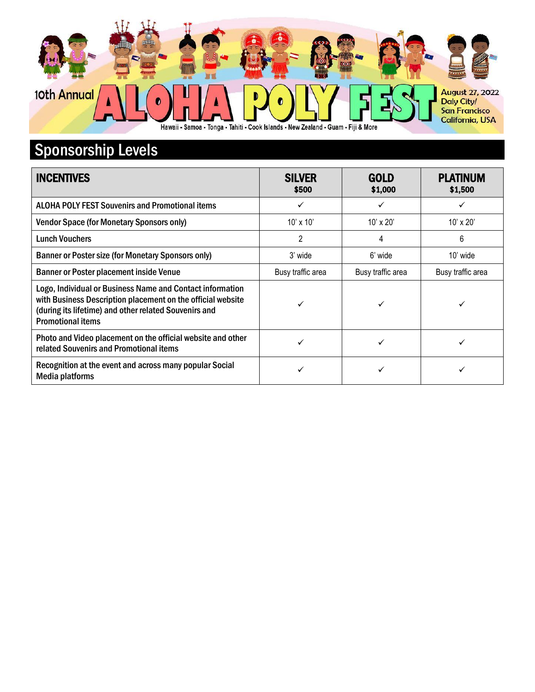

## Sponsorship Levels

| <b>INCENTIVES</b>                                                                                                                                                                                             | <b>SILVER</b><br>\$500 | <b>GOLD</b><br>\$1,000 | <b>PLATINUM</b><br>\$1,500 |
|---------------------------------------------------------------------------------------------------------------------------------------------------------------------------------------------------------------|------------------------|------------------------|----------------------------|
| <b>ALOHA POLY FEST Souvenirs and Promotional items</b>                                                                                                                                                        | ✓                      | ✓                      | ✓                          |
| <b>Vendor Space (for Monetary Sponsors only)</b>                                                                                                                                                              | $10' \times 10'$       | $10' \times 20'$       | $10' \times 20'$           |
| <b>Lunch Vouchers</b>                                                                                                                                                                                         | $\overline{2}$         | 4                      | 6                          |
| Banner or Poster size (for Monetary Sponsors only)                                                                                                                                                            | 3' wide                | 6' wide                | 10' wide                   |
| <b>Banner or Poster placement inside Venue</b>                                                                                                                                                                | Busy traffic area      | Busy traffic area      | Busy traffic area          |
| Logo, Individual or Business Name and Contact information<br>with Business Description placement on the official website<br>(during its lifetime) and other related Souvenirs and<br><b>Promotional items</b> |                        |                        |                            |
| Photo and Video placement on the official website and other<br>related Souvenirs and Promotional items                                                                                                        |                        |                        |                            |
| Recognition at the event and across many popular Social<br>Media platforms                                                                                                                                    | ✓                      | ✓                      |                            |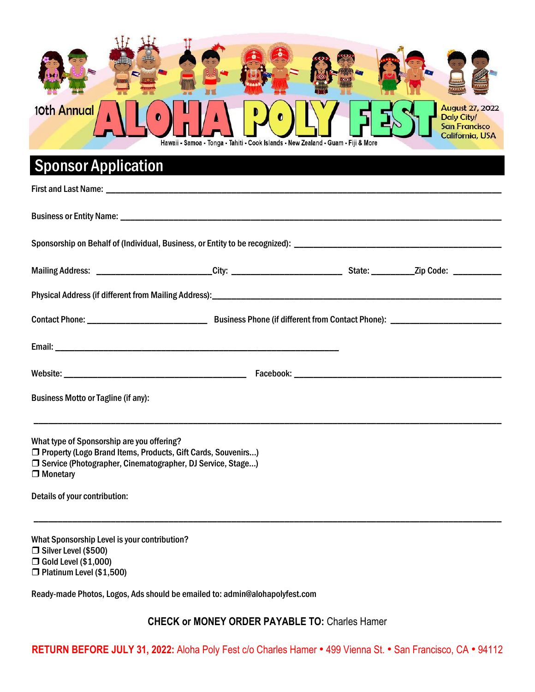

## Sponsor Application

| <b>Business Motto or Tagline (if any):</b>                                                                                                                                                      |  |  |
|-------------------------------------------------------------------------------------------------------------------------------------------------------------------------------------------------|--|--|
|                                                                                                                                                                                                 |  |  |
| What type of Sponsorship are you offering?<br>□ Property (Logo Brand Items, Products, Gift Cards, Souvenirs)<br>□ Service (Photographer, Cinematographer, DJ Service, Stage)<br>$\Box$ Monetary |  |  |
| Details of your contribution:                                                                                                                                                                   |  |  |

What Sponsorship Level is your contribution? □ Silver Level (\$500) Gold Level (\$1,000) Platinum Level (\$1,500)

Ready-made Photos, Logos, Ads should be emailed to: admin@alohapolyfest.com

**CHECK or MONEY ORDER PAYABLE TO:** Charles Hamer

\_\_\_\_\_\_\_\_\_\_\_\_\_\_\_\_\_\_\_\_\_\_\_\_\_\_\_\_\_\_\_\_\_\_\_\_\_\_\_\_\_\_\_\_\_\_\_\_\_\_\_\_\_\_\_\_\_\_\_\_\_\_\_\_\_\_\_\_\_\_\_\_\_\_\_\_\_\_\_\_\_\_\_\_\_\_\_\_\_\_\_\_\_\_\_\_\_